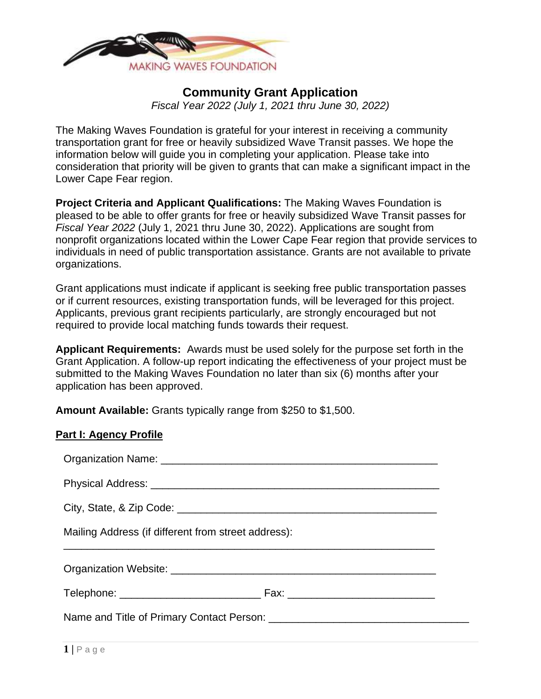

# **Community Grant Application**

*Fiscal Year 2022 (July 1, 2021 thru June 30, 2022)* 

The Making Waves Foundation is grateful for your interest in receiving a community transportation grant for free or heavily subsidized Wave Transit passes. We hope the information below will guide you in completing your application. Please take into consideration that priority will be given to grants that can make a significant impact in the Lower Cape Fear region.

**Project Criteria and Applicant Qualifications:** The Making Waves Foundation is pleased to be able to offer grants for free or heavily subsidized Wave Transit passes for *Fiscal Year 2022* (July 1, 2021 thru June 30, 2022). Applications are sought from nonprofit organizations located within the Lower Cape Fear region that provide services to individuals in need of public transportation assistance. Grants are not available to private organizations.

Grant applications must indicate if applicant is seeking free public transportation passes or if current resources, existing transportation funds, will be leveraged for this project. Applicants, previous grant recipients particularly, are strongly encouraged but not required to provide local matching funds towards their request.

**Applicant Requirements:** Awards must be used solely for the purpose set forth in the Grant Application. A follow-up report indicating the effectiveness of your project must be submitted to the Making Waves Foundation no later than six (6) months after your application has been approved.

**Amount Available:** Grants typically range from \$250 to \$1,500.

| Mailing Address (if different from street address): |  |  |
|-----------------------------------------------------|--|--|
|                                                     |  |  |
|                                                     |  |  |
|                                                     |  |  |
|                                                     |  |  |

**Part I: Agency Profile**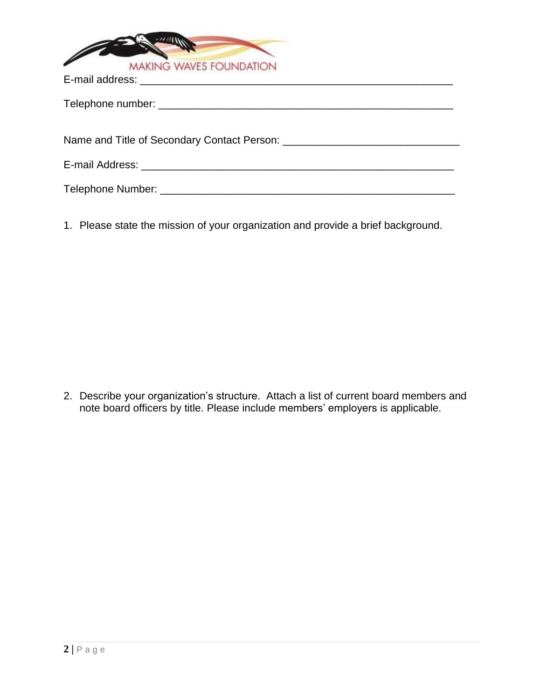

1. Please state the mission of your organization and provide a brief background.

2. Describe your organization's structure. Attach a list of current board members and note board officers by title. Please include members' employers is applicable.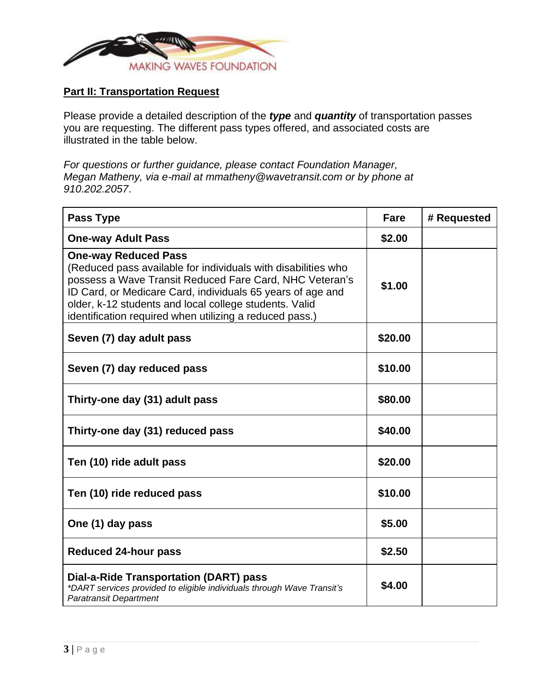

# **Part II: Transportation Request**

Please provide a detailed description of the *type* and *quantity* of transportation passes you are requesting. The different pass types offered, and associated costs are illustrated in the table below.

*For questions or further guidance, please contact Foundation Manager, Megan Matheny, via e-mail at mmatheny@wavetransit.com or by phone at 910.202.2057*.

| Pass Type                                                                                                                                                                                                                                                                                                                                  | Fare    | # Requested |
|--------------------------------------------------------------------------------------------------------------------------------------------------------------------------------------------------------------------------------------------------------------------------------------------------------------------------------------------|---------|-------------|
| <b>One-way Adult Pass</b>                                                                                                                                                                                                                                                                                                                  | \$2.00  |             |
| <b>One-way Reduced Pass</b><br>(Reduced pass available for individuals with disabilities who<br>possess a Wave Transit Reduced Fare Card, NHC Veteran's<br>ID Card, or Medicare Card, individuals 65 years of age and<br>older, k-12 students and local college students. Valid<br>identification required when utilizing a reduced pass.) | \$1.00  |             |
| Seven (7) day adult pass                                                                                                                                                                                                                                                                                                                   | \$20.00 |             |
| Seven (7) day reduced pass                                                                                                                                                                                                                                                                                                                 | \$10.00 |             |
| Thirty-one day (31) adult pass                                                                                                                                                                                                                                                                                                             | \$80.00 |             |
| Thirty-one day (31) reduced pass                                                                                                                                                                                                                                                                                                           | \$40.00 |             |
| Ten (10) ride adult pass                                                                                                                                                                                                                                                                                                                   | \$20.00 |             |
| Ten (10) ride reduced pass                                                                                                                                                                                                                                                                                                                 | \$10.00 |             |
| One (1) day pass                                                                                                                                                                                                                                                                                                                           | \$5.00  |             |
| <b>Reduced 24-hour pass</b>                                                                                                                                                                                                                                                                                                                | \$2.50  |             |
| Dial-a-Ride Transportation (DART) pass<br>*DART services provided to eligible individuals through Wave Transit's<br><b>Paratransit Department</b>                                                                                                                                                                                          | \$4.00  |             |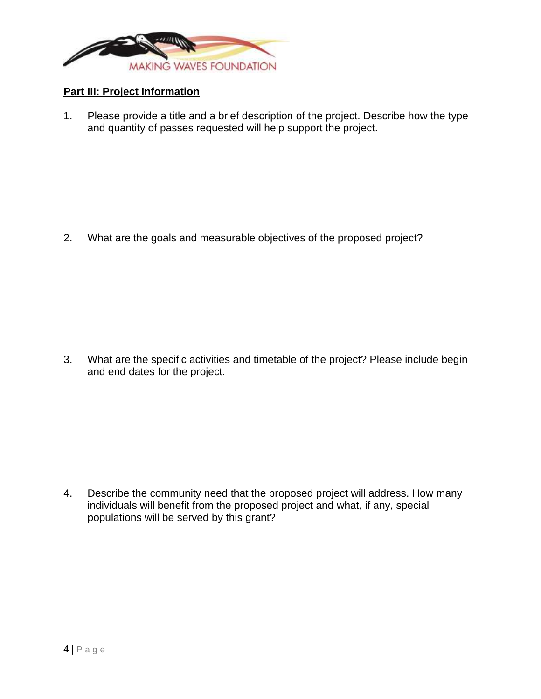

# **Part III: Project Information**

1. Please provide a title and a brief description of the project. Describe how the type and quantity of passes requested will help support the project.

2. What are the goals and measurable objectives of the proposed project?

3. What are the specific activities and timetable of the project? Please include begin and end dates for the project.

4. Describe the community need that the proposed project will address. How many individuals will benefit from the proposed project and what, if any, special populations will be served by this grant?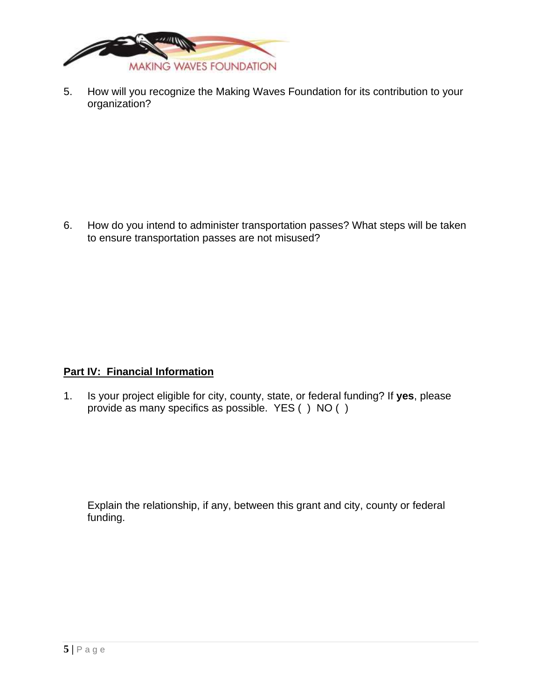

5. How will you recognize the Making Waves Foundation for its contribution to your organization?

6. How do you intend to administer transportation passes? What steps will be taken to ensure transportation passes are not misused?

### **Part IV: Financial Information**

1. Is your project eligible for city, county, state, or federal funding? If **yes**, please provide as many specifics as possible. YES ( ) NO ( )

Explain the relationship, if any, between this grant and city, county or federal funding.